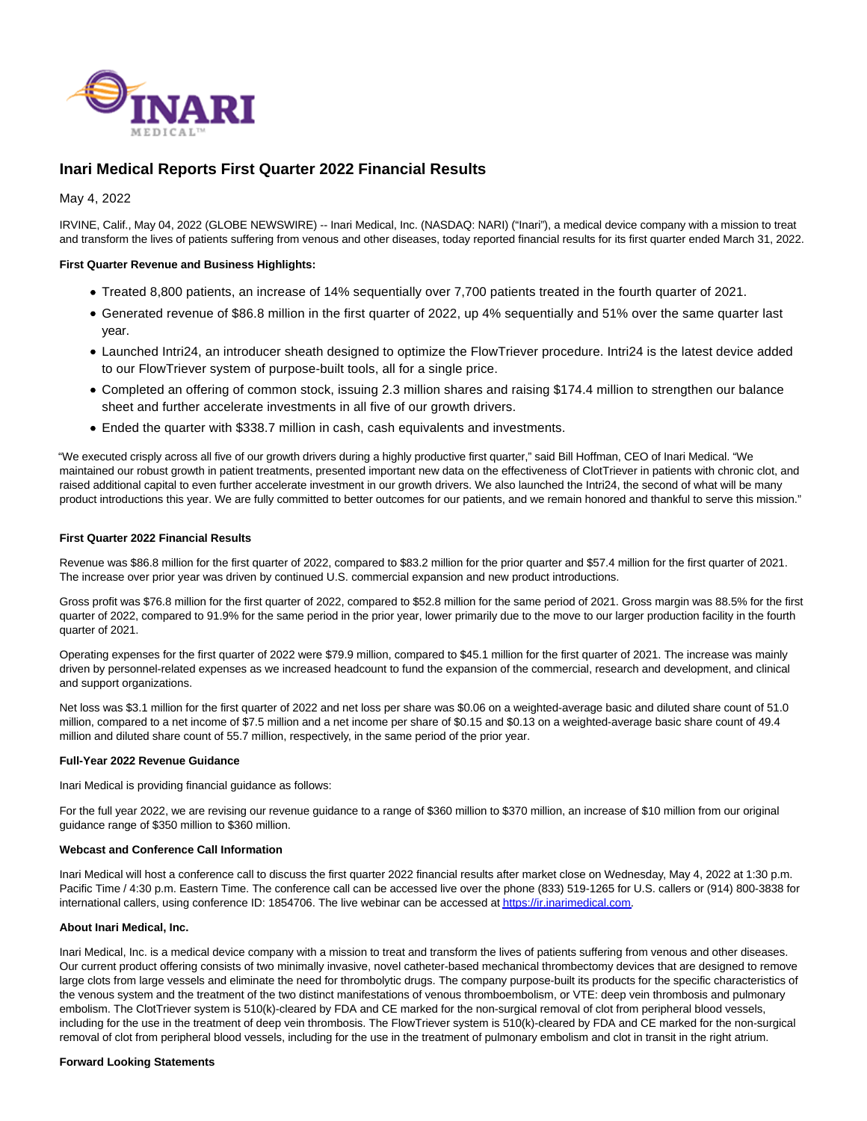

# **Inari Medical Reports First Quarter 2022 Financial Results**

May 4, 2022

IRVINE, Calif., May 04, 2022 (GLOBE NEWSWIRE) -- Inari Medical, Inc. (NASDAQ: NARI) ("Inari"), a medical device company with a mission to treat and transform the lives of patients suffering from venous and other diseases, today reported financial results for its first quarter ended March 31, 2022.

# **First Quarter Revenue and Business Highlights:**

- Treated 8,800 patients, an increase of 14% sequentially over 7,700 patients treated in the fourth quarter of 2021.
- Generated revenue of \$86.8 million in the first quarter of 2022, up 4% sequentially and 51% over the same quarter last year.
- Launched Intri24, an introducer sheath designed to optimize the FlowTriever procedure. Intri24 is the latest device added to our FlowTriever system of purpose-built tools, all for a single price.
- Completed an offering of common stock, issuing 2.3 million shares and raising \$174.4 million to strengthen our balance sheet and further accelerate investments in all five of our growth drivers.
- Ended the quarter with \$338.7 million in cash, cash equivalents and investments.

"We executed crisply across all five of our growth drivers during a highly productive first quarter," said Bill Hoffman, CEO of Inari Medical. "We maintained our robust growth in patient treatments, presented important new data on the effectiveness of ClotTriever in patients with chronic clot, and raised additional capital to even further accelerate investment in our growth drivers. We also launched the Intri24, the second of what will be many product introductions this year. We are fully committed to better outcomes for our patients, and we remain honored and thankful to serve this mission."

# **First Quarter 2022 Financial Results**

Revenue was \$86.8 million for the first quarter of 2022, compared to \$83.2 million for the prior quarter and \$57.4 million for the first quarter of 2021. The increase over prior year was driven by continued U.S. commercial expansion and new product introductions.

Gross profit was \$76.8 million for the first quarter of 2022, compared to \$52.8 million for the same period of 2021. Gross margin was 88.5% for the first quarter of 2022, compared to 91.9% for the same period in the prior year, lower primarily due to the move to our larger production facility in the fourth quarter of 2021.

Operating expenses for the first quarter of 2022 were \$79.9 million, compared to \$45.1 million for the first quarter of 2021. The increase was mainly driven by personnel-related expenses as we increased headcount to fund the expansion of the commercial, research and development, and clinical and support organizations.

Net loss was \$3.1 million for the first quarter of 2022 and net loss per share was \$0.06 on a weighted-average basic and diluted share count of 51.0 million, compared to a net income of \$7.5 million and a net income per share of \$0.15 and \$0.13 on a weighted-average basic share count of 49.4 million and diluted share count of 55.7 million, respectively, in the same period of the prior year.

# **Full-Year 2022 Revenue Guidance**

Inari Medical is providing financial guidance as follows:

For the full year 2022, we are revising our revenue guidance to a range of \$360 million to \$370 million, an increase of \$10 million from our original guidance range of \$350 million to \$360 million.

## **Webcast and Conference Call Information**

Inari Medical will host a conference call to discuss the first quarter 2022 financial results after market close on Wednesday, May 4, 2022 at 1:30 p.m. Pacific Time / 4:30 p.m. Eastern Time. The conference call can be accessed live over the phone (833) 519-1265 for U.S. callers or (914) 800-3838 for international callers, using conference ID: 1854706. The live webinar can be accessed a[t https://ir.inarimedical.com.](https://www.globenewswire.com/Tracker?data=LyK6LNf9ZbDQ-I0MN9B2JRL0fEkfP21uO0vV6zVmJwgotaQe0TkCl28R3QYUI_-ZghQ0dg19SYn1wDENgqE4lTHsqkb2Uu7uEXSJLDlLpKQ=)

# **About Inari Medical, Inc.**

Inari Medical, Inc. is a medical device company with a mission to treat and transform the lives of patients suffering from venous and other diseases. Our current product offering consists of two minimally invasive, novel catheter-based mechanical thrombectomy devices that are designed to remove large clots from large vessels and eliminate the need for thrombolytic drugs. The company purpose-built its products for the specific characteristics of the venous system and the treatment of the two distinct manifestations of venous thromboembolism, or VTE: deep vein thrombosis and pulmonary embolism. The ClotTriever system is 510(k)-cleared by FDA and CE marked for the non-surgical removal of clot from peripheral blood vessels, including for the use in the treatment of deep vein thrombosis. The FlowTriever system is 510(k)-cleared by FDA and CE marked for the non-surgical removal of clot from peripheral blood vessels, including for the use in the treatment of pulmonary embolism and clot in transit in the right atrium.

#### **Forward Looking Statements**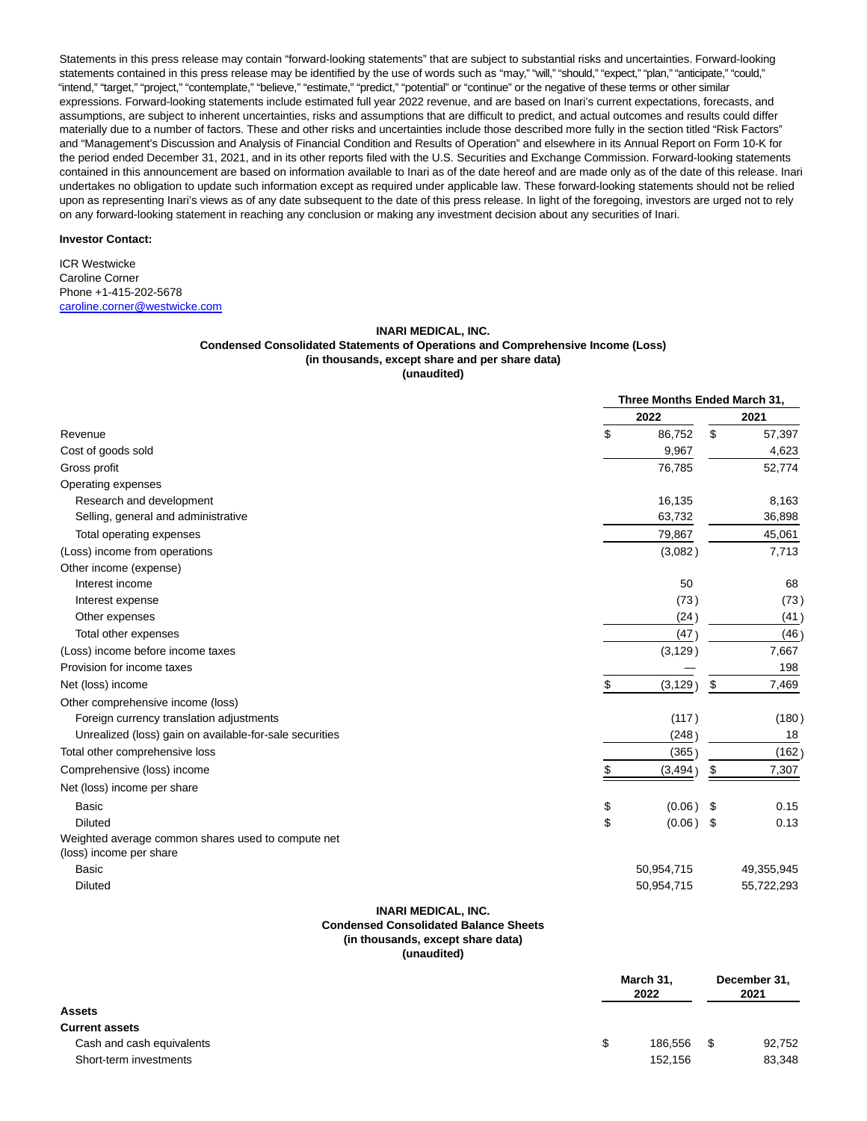Statements in this press release may contain "forward-looking statements" that are subject to substantial risks and uncertainties. Forward-looking statements contained in this press release may be identified by the use of words such as "may," "will," "should," "expect," "plan," "anticipate," "could," "intend," "target," "project," "contemplate," "believe," "estimate," "predict," "potential" or "continue" or the negative of these terms or other similar expressions. Forward-looking statements include estimated full year 2022 revenue, and are based on Inari's current expectations, forecasts, and assumptions, are subject to inherent uncertainties, risks and assumptions that are difficult to predict, and actual outcomes and results could differ materially due to a number of factors. These and other risks and uncertainties include those described more fully in the section titled "Risk Factors" and "Management's Discussion and Analysis of Financial Condition and Results of Operation" and elsewhere in its Annual Report on Form 10-K for the period ended December 31, 2021, and in its other reports filed with the U.S. Securities and Exchange Commission. Forward-looking statements contained in this announcement are based on information available to Inari as of the date hereof and are made only as of the date of this release. Inari undertakes no obligation to update such information except as required under applicable law. These forward-looking statements should not be relied upon as representing Inari's views as of any date subsequent to the date of this press release. In light of the foregoing, investors are urged not to rely on any forward-looking statement in reaching any conclusion or making any investment decision about any securities of Inari.

## **Investor Contact:**

ICR Westwicke Caroline Corner Phone +1-415-202-5678 [caroline.corner@westwicke.com](https://www.globenewswire.com/Tracker?data=u3PUeop1OrClUD2NcYU2p8FhCj7VB9Haoxy1Z8dAWmOQUxTXriswgSg0Pi9Y1GoHCI17Bz6GJzDnw3UObUl_D8x6PGyage1BR5UiHLJycX5Z8LfyAxPolvFY865RY5FM)

#### **INARI MEDICAL, INC.**

# **Condensed Consolidated Statements of Operations and Comprehensive Income (Loss) (in thousands, except share and per share data)**

**(unaudited)**

|                                                                               |                | Three Months Ended March 31, |            |  |
|-------------------------------------------------------------------------------|----------------|------------------------------|------------|--|
|                                                                               | 2022           |                              | 2021       |  |
| Revenue                                                                       | \$<br>86,752   | \$                           | 57,397     |  |
| Cost of goods sold                                                            | 9,967          |                              | 4,623      |  |
| Gross profit                                                                  | 76,785         |                              | 52,774     |  |
| Operating expenses                                                            |                |                              |            |  |
| Research and development                                                      | 16,135         |                              | 8,163      |  |
| Selling, general and administrative                                           | 63,732         |                              | 36,898     |  |
| Total operating expenses                                                      | 79,867         |                              | 45,061     |  |
| (Loss) income from operations                                                 | (3,082)        |                              | 7,713      |  |
| Other income (expense)                                                        |                |                              |            |  |
| Interest income                                                               | 50             |                              | 68         |  |
| Interest expense                                                              | (73)           |                              | (73)       |  |
| Other expenses                                                                | (24)           |                              | (41)       |  |
| Total other expenses                                                          | (47)           |                              | (46)       |  |
| (Loss) income before income taxes                                             | (3, 129)       |                              | 7,667      |  |
| Provision for income taxes                                                    |                |                              | 198        |  |
| Net (loss) income                                                             | \$<br>(3, 129) | \$                           | 7,469      |  |
| Other comprehensive income (loss)                                             |                |                              |            |  |
| Foreign currency translation adjustments                                      | (117)          |                              | (180)      |  |
| Unrealized (loss) gain on available-for-sale securities                       | (248)          |                              | 18         |  |
| Total other comprehensive loss                                                | (365)          |                              | (162)      |  |
| Comprehensive (loss) income                                                   | \$<br>(3, 494) | \$                           | 7,307      |  |
| Net (loss) income per share                                                   |                |                              |            |  |
| Basic                                                                         | \$<br>(0.06)   | - \$                         | 0.15       |  |
| <b>Diluted</b>                                                                | \$<br>(0.06)   | - \$                         | 0.13       |  |
| Weighted average common shares used to compute net<br>(loss) income per share |                |                              |            |  |
| <b>Basic</b>                                                                  | 50,954,715     |                              | 49,355,945 |  |
| <b>Diluted</b>                                                                | 50,954,715     |                              | 55,722,293 |  |
| INARI MEDICAL INC.                                                            |                |                              |            |  |

## **INARI MEDICAL, INC. Condensed Consolidated Balance Sheets (in thousands, except share data) (unaudited)**

|                           | March 31,<br>2022 |      | December 31,<br>2021 |
|---------------------------|-------------------|------|----------------------|
| <b>Assets</b>             |                   |      |                      |
| <b>Current assets</b>     |                   |      |                      |
| Cash and cash equivalents | 186.556           | - \$ | 92,752               |
| Short-term investments    | 152.156           |      | 83,348               |